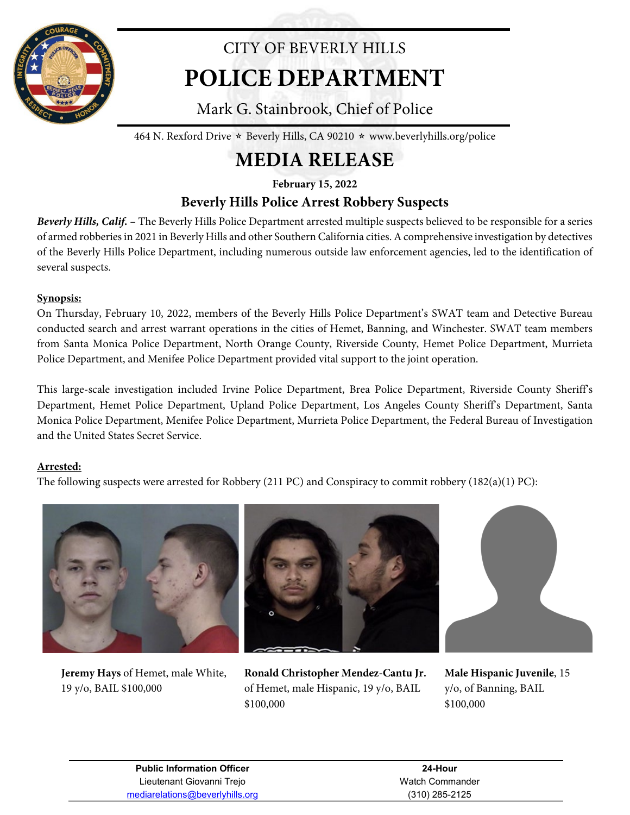

# CITY OF BEVERLY HILLS **POLICE DEPARTMENT**

Mark G. Stainbrook, Chief of Police

464 N. Rexford Drive  $\star$  Beverly Hills, CA 90210  $\star$  www.beverlyhills.org/police

## **MEDIA RELEASE**

**February 15, 2022**

### **Beverly Hills Police Arrest Robbery Suspects**

*Beverly Hills, Calif.* – The Beverly Hills Police Department arrested multiple suspects believed to be responsible for a series of armed robberies in 2021 in Beverly Hills and other Southern California cities. A comprehensive investigation by detectives of the Beverly Hills Police Department, including numerous outside law enforcement agencies, led to the identification of several suspects.

#### **Synopsis:**

On Thursday, February 10, 2022, members of the Beverly Hills Police Department's SWAT team and Detective Bureau conducted search and arrest warrant operations in the cities of Hemet, Banning, and Winchester. SWAT team members from Santa Monica Police Department, North Orange County, Riverside County, Hemet Police Department, Murrieta Police Department, and Menifee Police Department provided vital support to the joint operation.

This large-scale investigation included Irvine Police Department, Brea Police Department, Riverside County Sheriff's Department, Hemet Police Department, Upland Police Department, Los Angeles County Sheriff's Department, Santa Monica Police Department, Menifee Police Department, Murrieta Police Department, the Federal Bureau of Investigation and the United States Secret Service.

#### **Arrested:**

The following suspects were arrested for Robbery (211 PC) and Conspiracy to commit robbery (182(a)(1) PC):



**Jeremy Hays** of Hemet, male White, 19 y/o, BAIL \$100,000







**Male Hispanic Juvenile**, 15 y/o, of Banning, BAIL \$100,000

| <b>Public Information Officer</b> |
|-----------------------------------|
| Lieutenant Giovanni Trejo         |
| mediarelations@beverlyhills.org   |

**24-Hour** Watch Commander (310) 285-2125